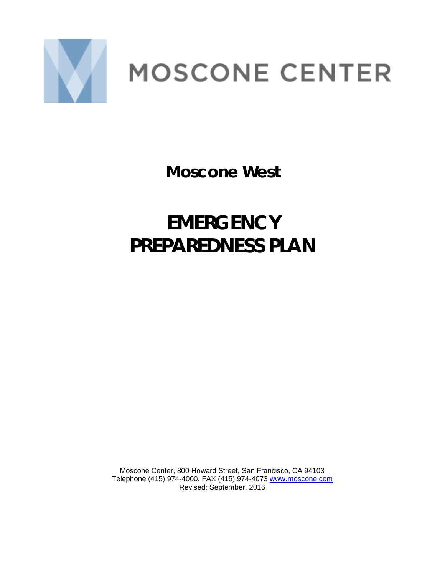

# **MOSCONE CENTER**

**Moscone West**

# **EMERGENCY PREPAREDNESS PLAN**

Moscone Center, 800 Howard Street, San Francisco, CA 94103 Telephone (415) 974-4000, FAX (415) 974-4073 [www.moscone.com](file:///C:%5CUsers%5Cfiremarshal%5CAppData%5CLocal%5CMicrosoft%5CWindows%5CTemporary%20Internet%20Files%5CContent.Outlook%5CAppData%5CLocal%5CMicrosoft%5CWindows%5CTemporary%20Internet%20Files%5CContent.Outlook%5CAppData%5CLocal%5CMicrosoft%5CWindows%5CTemporary%20Internet%20Files%5CContent.Outlook%5CEVIU09X9%5Cwww.moscone.com) Revised: September, 2016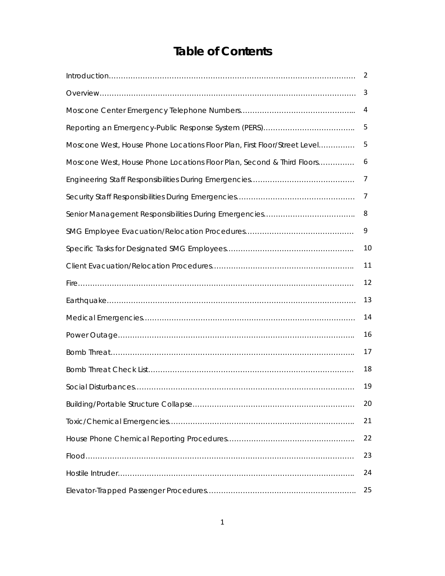# **Table of Contents**

|                                                                          | 2  |
|--------------------------------------------------------------------------|----|
|                                                                          | 3  |
|                                                                          | 4  |
|                                                                          | 5  |
| Moscone West, House Phone Locations Floor Plan, First Floor/Street Level | 5  |
| Moscone West, House Phone Locations Floor Plan, Second & Third Floors    | 6  |
|                                                                          | 7  |
|                                                                          | 7  |
|                                                                          | 8  |
|                                                                          | 9  |
|                                                                          | 10 |
|                                                                          | 11 |
|                                                                          | 12 |
|                                                                          | 13 |
|                                                                          | 14 |
|                                                                          | 16 |
|                                                                          | 17 |
|                                                                          | 18 |
|                                                                          | 19 |
|                                                                          | 20 |
|                                                                          | 21 |
|                                                                          | 22 |
|                                                                          | 23 |
|                                                                          | 24 |
|                                                                          | 25 |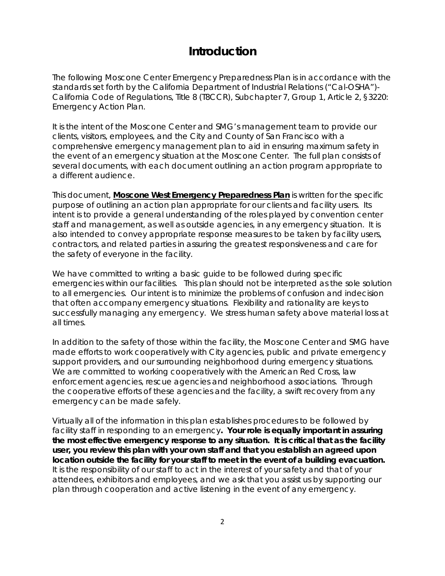# **Introduction**

The following Moscone Center Emergency Preparedness Plan is in accordance with the standards set forth by the California Department of Industrial Relations ("Cal-OSHA")- California Code of Regulations, Title 8 (T8CCR), Subchapter 7, Group 1, Article 2, §3220: Emergency Action Plan.

It is the intent of the Moscone Center and SMG's management team to provide our clients, visitors, employees, and the City and County of San Francisco with a comprehensive emergency management plan to aid in ensuring maximum safety in the event of an emergency situation at the Moscone Center. The full plan consists of several documents, with each document outlining an action program appropriate to a different audience.

This document*,* **Moscone West Emergency Preparedness Plan** is written for the specific purpose of outlining an action plan appropriate for our clients and facility users. Its intent is to provide a general understanding of the roles played by convention center staff and management, as well as outside agencies, in any emergency situation. It is also intended to convey appropriate response measures to be taken by facility users, contractors, and related parties in assuring the greatest responsiveness and care for the safety of everyone in the facility.

We have committed to writing a basic guide to be followed during specific emergencies within our facilities. This plan should not be interpreted as the sole solution to all emergencies. Our intent is to minimize the problems of confusion and indecision that often accompany emergency situations. Flexibility and rationality are keys to successfully managing any emergency. We stress human safety above material loss at all times.

In addition to the safety of those within the facility, the Moscone Center and SMG have made efforts to work cooperatively with City agencies, public and private emergency support providers, and our surrounding neighborhood during emergency situations. We are committed to working cooperatively with the American Red Cross, law enforcement agencies, rescue agencies and neighborhood associations. Through the cooperative efforts of these agencies and the facility, a swift recovery from any emergency can be made safely.

Virtually all of the information in this plan establishes procedures to be followed by facility staff in responding to an emergency**. Your role is equally important in assuring the most effective emergency response to any situation. It is critical that as the facility user, you review this plan with your own staff and that you establish an agreed upon location outside the facility for your staff to meet in the event of a building evacuation.**  It is the responsibility of our staff to act in the interest of your safety and that of your attendees, exhibitors and employees, and we ask that you assist us by supporting our plan through cooperation and active listening in the event of any emergency.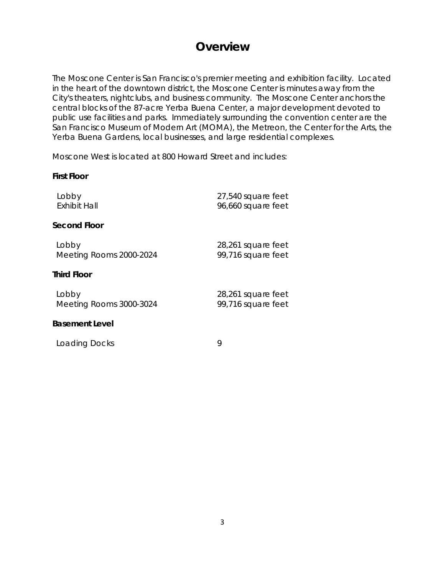# **Overview**

The Moscone Center is San Francisco's premier meeting and exhibition facility. Located in the heart of the downtown district, the Moscone Center is minutes away from the City's theaters, nightclubs, and business community. The Moscone Center anchors the central blocks of the 87-acre Yerba Buena Center, a major development devoted to public use facilities and parks. Immediately surrounding the convention center are the San Francisco Museum of Modern Art (MOMA), the Metreon, the Center for the Arts, the Yerba Buena Gardens, local businesses, and large residential complexes.

Moscone West is located at 800 Howard Street and includes:

#### **First Floor**

Lobby 27,540 square feet 96,660 square feet **Second Floor**

| Lobby                   | 28,261 square feet |
|-------------------------|--------------------|
| Meeting Rooms 2000-2024 | 99,716 square feet |

## **Third Floor**

| Lobby                   | 28,261 square feet |
|-------------------------|--------------------|
| Meeting Rooms 3000-3024 | 99,716 square feet |

## **Basement Level**

Loading Docks 9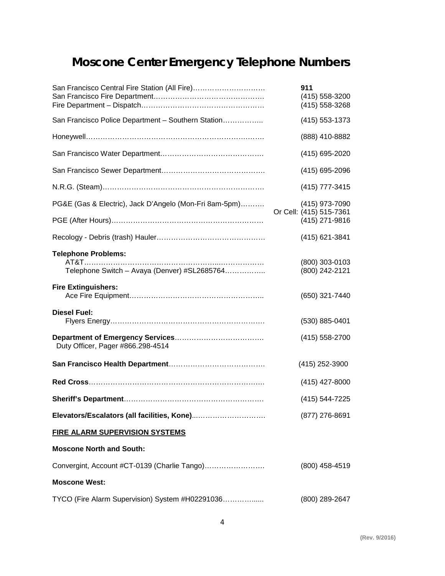# **Moscone Center Emergency Telephone Numbers**

| San Francisco Central Fire Station (All Fire)                              | 911<br>(415) 558-3200<br>(415) 558-3268   |
|----------------------------------------------------------------------------|-------------------------------------------|
| San Francisco Police Department - Southern Station                         | (415) 553-1373                            |
|                                                                            | (888) 410-8882                            |
|                                                                            | (415) 695-2020                            |
|                                                                            | (415) 695-2096                            |
|                                                                            | (415) 777-3415                            |
| PG&E (Gas & Electric), Jack D'Angelo (Mon-Fri 8am-5pm)                     | (415) 973-7090<br>Or Cell: (415) 515-7361 |
|                                                                            | (415) 271-9816                            |
|                                                                            | (415) 621-3841                            |
| <b>Telephone Problems:</b><br>Telephone Switch - Avaya (Denver) #SL2685764 | (800) 303-0103<br>(800) 242-2121          |
| <b>Fire Extinguishers:</b>                                                 | (650) 321-7440                            |
| <b>Diesel Fuel:</b>                                                        | (530) 885-0401                            |
| Duty Officer, Pager #866.298-4514                                          | (415) 558-2700                            |
|                                                                            | (415) 252-3900                            |
|                                                                            | (415) 427-8000                            |
|                                                                            | (415) 544-7225                            |
|                                                                            | (877) 276-8691                            |
| <b>FIRE ALARM SUPERVISION SYSTEMS</b>                                      |                                           |
| <b>Moscone North and South:</b>                                            |                                           |
| Convergint, Account #CT-0139 (Charlie Tango)                               | (800) 458-4519                            |
| <b>Moscone West:</b>                                                       |                                           |
| TYCO (Fire Alarm Supervision) System #H02291036                            | (800) 289-2647                            |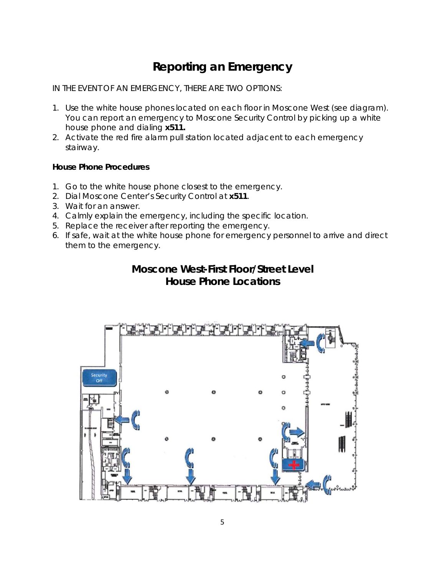# **Reporting an Emergency**

IN THE EVENT OF AN EMERGENCY, THERE ARE TWO OPTIONS:

- 1. Use the white house phones located on each floor in Moscone West (see diagram). You can report an emergency to Moscone Security Control by picking up a white house phone and dialing **x511.**
- 2. Activate the red fire alarm pull station located adjacent to each emergency stairway.

# **House Phone Procedures**

- 1. Go to the white house phone closest to the emergency.
- 2. Dial Moscone Center's Security Control at **x511**.
- 3. Wait for an answer.
- 4. Calmly explain the emergency, including the specific location.
- 5. Replace the receiver after reporting the emergency.
- 6. If safe, wait at the white house phone for emergency personnel to arrive and direct them to the emergency.

# **Moscone West-First Floor/Street Level House Phone Locations**

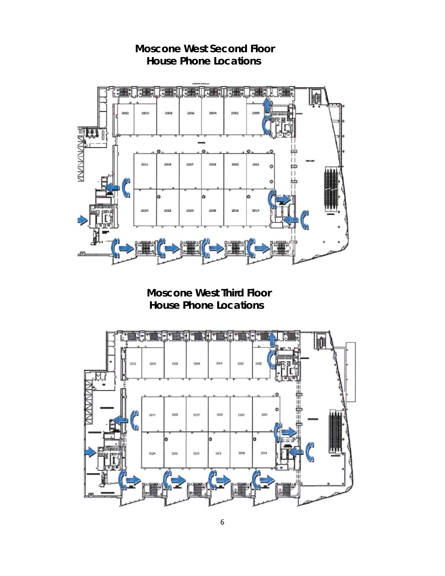

 **Moscone West Second Floor House Phone Locations**

 **Moscone West Third Floor House Phone Locations**

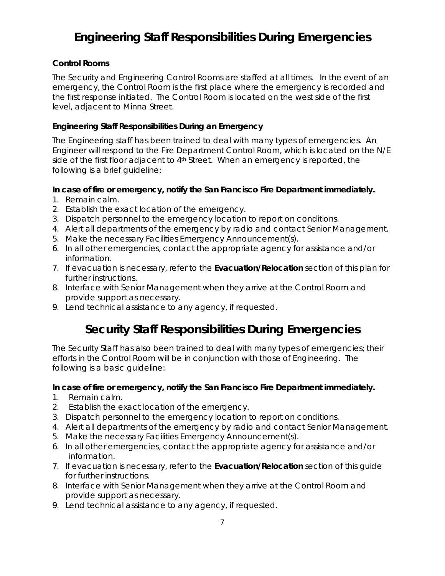# **Engineering Staff Responsibilities During Emergencies**

# **Control Rooms**

The Security and Engineering Control Rooms are staffed at all times. In the event of an emergency, the Control Room is the first place where the emergency is recorded and the first response initiated. The Control Room is located on the west side of the first level, adjacent to Minna Street.

## **Engineering Staff Responsibilities During an Emergency**

The Engineering staff has been trained to deal with many types of emergencies. An Engineer will respond to the Fire Department Control Room, which is located on the N/E side of the first floor adjacent to 4<sup>th</sup> Street. When an emergency is reported, the following is a brief guideline:

## **In case of fire or emergency, notify the San Francisco Fire Department immediately.**

- 1. Remain calm.
- 2. Establish the exact location of the emergency.
- 3. Dispatch personnel to the emergency location to report on conditions.
- 4. Alert all departments of the emergency by radio and contact Senior Management.
- 5. Make the necessary Facilities Emergency Announcement(s).
- 6. In all other emergencies, contact the appropriate agency for assistance and/or information.
- 7. If evacuation is necessary, refer to the **Evacuation/Relocation** section of this plan for further instructions.
- 8. Interface with Senior Management when they arrive at the Control Room and provide support as necessary.
- 9. Lend technical assistance to any agency, if requested.

# **Security Staff Responsibilities During Emergencies**

The Security Staff has also been trained to deal with many types of emergencies; their efforts in the Control Room will be in conjunction with those of Engineering. The following is a basic guideline:

## **In case of fire or emergency, notify the San Francisco Fire Department immediately.**

- 1. Remain calm.
- 2. Establish the exact location of the emergency.
- 3. Dispatch personnel to the emergency location to report on conditions.
- 4. Alert all departments of the emergency by radio and contact Senior Management.
- 5. Make the necessary Facilities Emergency Announcement(s).
- 6. In all other emergencies, contact the appropriate agency for assistance and/or information.
- 7. If evacuation is necessary, refer to the **Evacuation/Relocation** section of this guide for further instructions.
- 8. Interface with Senior Management when they arrive at the Control Room and provide support as necessary.
- 9. Lend technical assistance to any agency, if requested.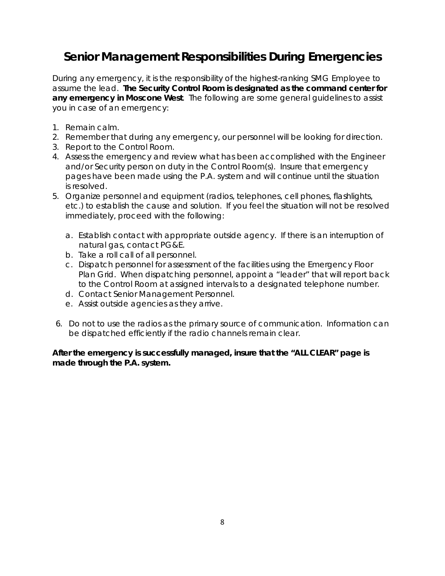# **Senior Management Responsibilities During Emergencies**

During any emergency, it is the responsibility of the highest-ranking SMG Employee to assume the lead. **The Security Control Room is designated as the command center for any emergency in Moscone West**. The following are some general guidelines to assist you in case of an emergency:

- 1. Remain calm.
- 2. Remember that during any emergency, our personnel will be looking for direction.
- 3. Report to the Control Room.
- 4. Assess the emergency and review what has been accomplished with the Engineer and/or Security person on duty in the Control Room(s). Insure that emergency pages have been made using the P.A. system and will continue until the situation is resolved.
- 5. Organize personnel and equipment (radios, telephones, cell phones, flashlights, etc.) to establish the cause and solution. If you feel the situation will not be resolved immediately, proceed with the following:
	- a. Establish contact with appropriate outside agency. If there is an interruption of natural gas, contact PG&E.
	- b. Take a roll call of all personnel.
	- c. Dispatch personnel for assessment of the facilities using the Emergency Floor Plan Grid. When dispatching personnel, appoint a "leader" that will report back to the Control Room at assigned intervals to a designated telephone number.
	- d. Contact Senior Management Personnel.
	- e. Assist outside agencies as they arrive.
- 6. Do not to use the radios as the primary source of communication. Information can be dispatched efficiently if the radio channels remain clear.

**After the emergency is successfully managed, insure that the "ALL CLEAR" page is made through the P.A. system.**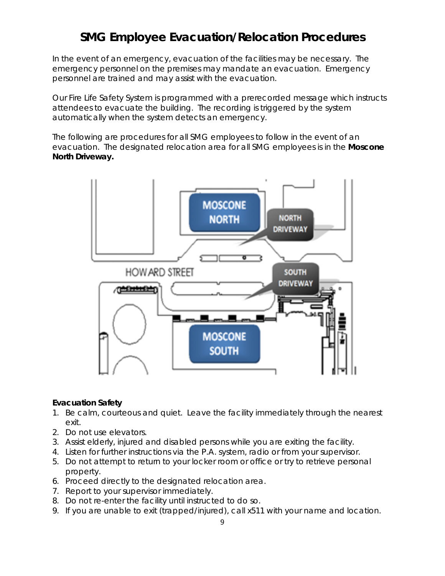# **SMG Employee Evacuation/Relocation Procedures**

In the event of an emergency, evacuation of the facilities may be necessary. The emergency personnel on the premises may mandate an evacuation. Emergency personnel are trained and may assist with the evacuation.

Our Fire Life Safety System is programmed with a prerecorded message which instructs attendees to evacuate the building. The recording is triggered by the system automatically when the system detects an emergency.

The following are procedures for all SMG employees to follow in the event of an evacuation. The designated relocation area for all SMG employees is in the **Moscone North Driveway.**



#### **Evacuation Safety**

- 1. Be calm, courteous and quiet. Leave the facility immediately through the nearest exit.
- 2. Do not use elevators.
- 3. Assist elderly, injured and disabled persons while you are exiting the facility.
- 4. Listen for further instructions via the P.A. system, radio or from your supervisor.
- 5. Do not attempt to return to your locker room or office or try to retrieve personal property.
- 6. Proceed directly to the designated relocation area.
- 7. Report to your supervisor immediately.
- 8. Do not re-enter the facility until instructed to do so.
- 9. If you are unable to exit (trapped/injured), call x511 with your name and location.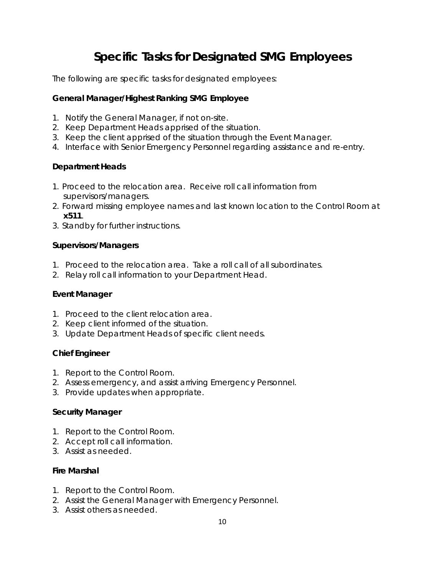# **Specific Tasks for Designated SMG Employees**

The following are specific tasks for designated employees:

# **General Manager/Highest Ranking SMG Employee**

- 1. Notify the General Manager, if not on-site.
- 2. Keep Department Heads apprised of the situation.
- 3. Keep the client apprised of the situation through the Event Manager.
- 4. Interface with Senior Emergency Personnel regarding assistance and re-entry.

# **Department Heads**

- 1. Proceed to the relocation area. Receive roll call information from supervisors/managers.
- 2. Forward missing employee names and last known location to the Control Room at **x511**.
- 3. Standby for further instructions.

## **Supervisors/Managers**

- 1. Proceed to the relocation area. Take a roll call of all subordinates.
- 2. Relay roll call information to your Department Head.

## **Event Manager**

- 1. Proceed to the client relocation area.
- 2. Keep client informed of the situation.
- 3. Update Department Heads of specific client needs.

# **Chief Engineer**

- 1. Report to the Control Room.
- 2. Assess emergency, and assist arriving Emergency Personnel.
- 3. Provide updates when appropriate.

## **Security Manager**

- 1. Report to the Control Room.
- 2. Accept roll call information.
- 3. Assist as needed.

## **Fire Marshal**

- 1. Report to the Control Room.
- 2. Assist the General Manager with Emergency Personnel.
- 3. Assist others as needed.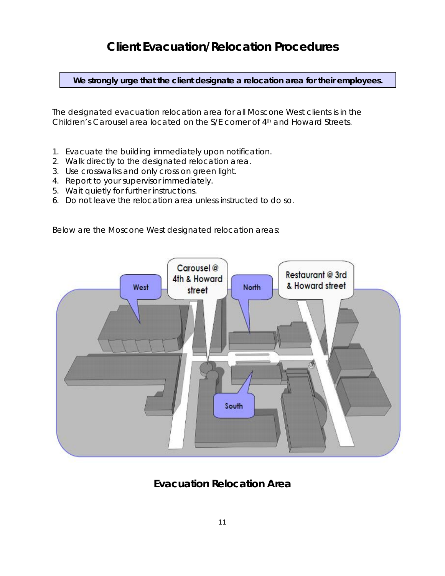# **Client Evacuation/Relocation Procedures**

**We strongly urge that the client designate a relocation area for their employees.** 

The designated evacuation relocation area for all Moscone West clients is in the Children's Carousel area located on the S/E corner of 4th and Howard Streets.

- 1. Evacuate the building immediately upon notification.
- 2. Walk directly to the designated relocation area.
- 3. Use crosswalks and only cross on green light.
- 4. Report to your supervisor immediately.
- 5. Wait quietly for further instructions.
- 6. Do not leave the relocation area unless instructed to do so.

Below are the Moscone West designated relocation areas:



**Evacuation Relocation Area**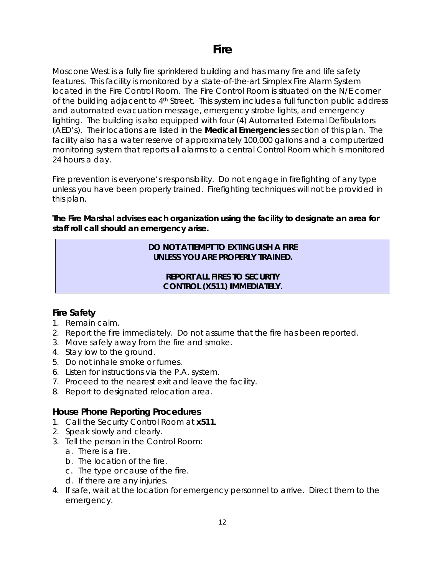Moscone West is a fully fire sprinklered building and has many fire and life safety features. This facility is monitored by a state-of-the-art Simplex Fire Alarm System located in the Fire Control Room. The Fire Control Room is situated on the N/E corner of the building adjacent to 4<sup>th</sup> Street. This system includes a full function public address and automated evacuation message, emergency strobe lights, and emergency lighting. The building is also equipped with four (4) Automated External Defibulators (AED's). Their locations are listed in the **Medical Emergencies** section of this plan. The facility also has a water reserve of approximately 100,000 gallons and a computerized monitoring system that reports all alarms to a central Control Room which is monitored 24 hours a day.

Fire prevention is everyone's responsibility. Do not engage in firefighting of any type unless you have been properly trained. Firefighting techniques will not be provided in this plan.

**The Fire Marshal advises each organization using the facility to designate an area for staff roll call should an emergency arise.**

# **DO NOT ATTEMPT TO EXTINGUISH A FIRE UNLESS YOU ARE PROPERLY TRAINED.**

# **REPORT ALL FIRES TO SECURITY CONTROL (X511) IMMEDIATELY.**

# **Fire Safety**

- 1. Remain calm.
- 2. Report the fire immediately. Do not assume that the fire has been reported.
- 3. Move safely away from the fire and smoke.
- 4. Stay low to the ground.
- 5. Do not inhale smoke or fumes.
- 6. Listen for instructions via the P.A. system.
- 7. Proceed to the nearest exit and leave the facility.
- 8. Report to designated relocation area.

# **House Phone Reporting Procedures**

- 1. Call the Security Control Room at **x511**.
- 2. Speak slowly and clearly.
- 3. Tell the person in the Control Room:
	- a. There is a fire.
	- b. The location of the fire.
	- c. The type or cause of the fire.
	- d. If there are any injuries.
- 4. If safe, wait at the location for emergency personnel to arrive. Direct them to the emergency.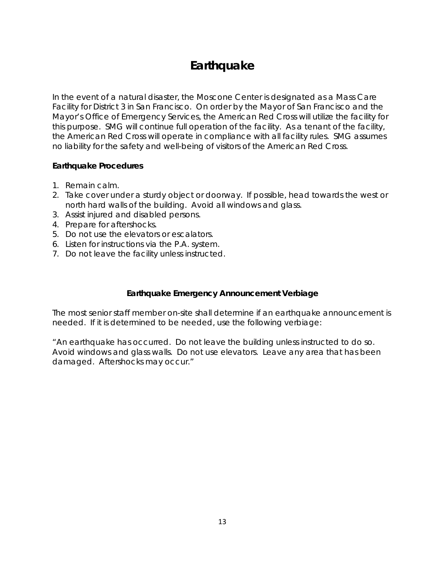# **Earthquake**

In the event of a natural disaster, the Moscone Center is designated as a Mass Care Facility for District 3 in San Francisco. On order by the Mayor of San Francisco and the Mayor's Office of Emergency Services, the American Red Cross will utilize the facility for this purpose. SMG will continue full operation of the facility. As a tenant of the facility, the American Red Cross will operate in compliance with all facility rules. SMG assumes no liability for the safety and well-being of visitors of the American Red Cross.

## **Earthquake Procedures**

- 1. Remain calm.
- 2. Take cover under a sturdy object or doorway. If possible, head towards the west or north hard walls of the building. Avoid all windows and glass.
- 3. Assist injured and disabled persons.
- 4. Prepare for aftershocks.
- 5. Do not use the elevators or escalators.
- 6. Listen for instructions via the P.A. system.
- 7. Do not leave the facility unless instructed.

## **Earthquake Emergency Announcement Verbiage**

The most senior staff member on-site shall determine if an earthquake announcement is needed. If it is determined to be needed, use the following verbiage:

"An earthquake has occurred. Do not leave the building unless instructed to do so. Avoid windows and glass walls. Do not use elevators. Leave any area that has been damaged. Aftershocks may occur."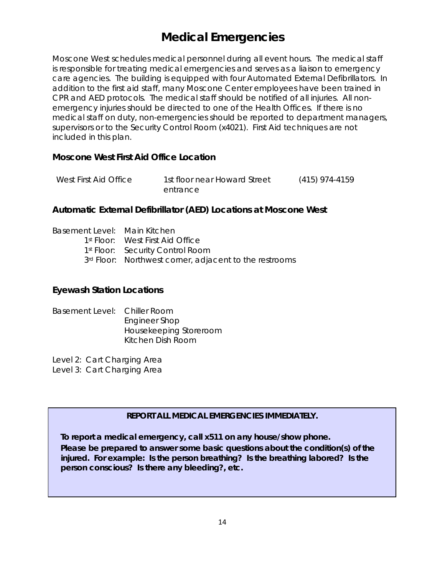# **Medical Emergencies**

Moscone West schedules medical personnel during all event hours. The medical staff is responsible for treating medical emergencies and serves as a liaison to emergency care agencies. The building is equipped with four Automated External Defibrillators. In addition to the first aid staff, many Moscone Center employees have been trained in CPR and AED protocols. The medical staff should be notified of all injuries. All nonemergency injuries should be directed to one of the Health Offices. If there is no medical staff on duty, non-emergencies should be reported to department managers, supervisors or to the Security Control Room (x4021). First Aid techniques are not included in this plan.

# **Moscone West First Aid Office Location**

| West First Aid Office | 1st floor near Howard Street | $(415)$ 974-4159 |
|-----------------------|------------------------------|------------------|
| entrance              |                              |                  |

## **Automatic External Defibrillator (AED) Locations at Moscone West**

| Basement Level: Main Kitchen |                                                        |
|------------------------------|--------------------------------------------------------|
|                              | 1 <sup>st</sup> Floor: West First Aid Office           |
|                              | 1 <sup>st</sup> Floor: Security Control Room           |
|                              | 3rd Floor: Northwest corner, adjacent to the restrooms |

## **Eyewash Station Locations**

Basement Level: Chiller Room Engineer Shop Housekeeping Storeroom Kitchen Dish Room

Level 2: Cart Charging Area

Level 3: Cart Charging Area

## **REPORT ALL MEDICAL EMERGENCIES IMMEDIATELY.**

 **To report a medical emergency, call x511 on any house/show phone.**

 **Please be prepared to answer some basic questions about the condition(s) of the injured. For example: Is the person breathing? Is the breathing labored? Is the person conscious? Is there any bleeding?, etc.**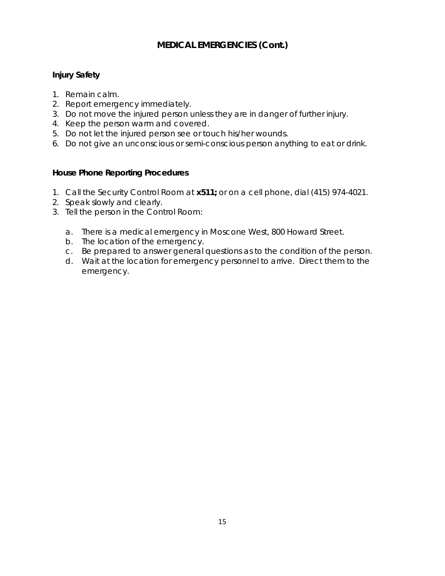# **MEDICAL EMERGENCIES (Cont.)**

# **Injury Safety**

- 1. Remain calm.
- 2. Report emergency immediately.
- 3. Do not move the injured person unless they are in danger of further injury.
- 4. Keep the person warm and covered.
- 5. Do not let the injured person see or touch his/her wounds.
- 6. Do not give an unconscious or semi-conscious person anything to eat or drink.

# **House Phone Reporting Procedures**

- 1. Call the Security Control Room at **x511;** or on a cell phone, dial (415) 974-4021.
- 2. Speak slowly and clearly.
- 3. Tell the person in the Control Room:
	- a. There is a medical emergency in Moscone West, 800 Howard Street.
	- b. The location of the emergency.
	- c. Be prepared to answer general questions as to the condition of the person.
	- d. Wait at the location for emergency personnel to arrive. Direct them to the emergency.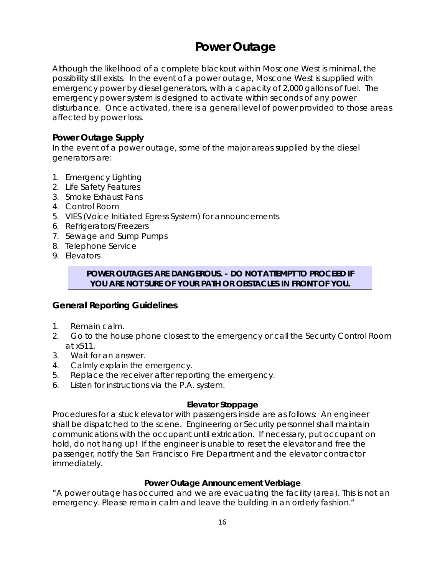# **Power Outage**

Although the likelihood of a complete blackout within Moscone West is minimal, the possibility still exists. In the event of a power outage, Moscone West is supplied with emergency power by diesel generators, with a capacity of 2,000 gallons of fuel. The emergency power system is designed to activate within seconds of any power disturbance. Once activated, there is a general level of power provided to those areas affected by power loss.

# **Power Outage Supply**

In the event of a power outage, some of the major areas supplied by the diesel generators are:

- 1. Emergency Lighting
- 2. Life Safety Features
- 3. Smoke Exhaust Fans
- 4. Control Room
- 5. VIES (Voice Initiated Egress System) for announcements
- 6. Refrigerators/Freezers
- 7. Sewage and Sump Pumps
- 8. Telephone Service
- 9. Elevators

## **POWER OUTAGES ARE DANGEROUS. - DO NOT ATTEMPT TO PROCEED IF YOU ARE NOT SURE OF YOUR PATH OR OBSTACLES IN FRONT OF YOU.**

# **General Reporting Guidelines**

- 1. Remain calm.
- 2. Go to the house phone closest to the emergency or call the Security Control Room at x511.
- 3. Wait for an answer.
- 4. Calmly explain the emergency.
- 5. Replace the receiver after reporting the emergency.
- 6. Listen for instructions via the P.A. system.

## **Elevator Stoppage**

Procedures for a stuck elevator with passengers inside are as follows: An engineer shall be dispatched to the scene. Engineering or Security personnel shall maintain communications with the occupant until extrication. If necessary, put occupant on hold, do not hang up! If the engineer is unable to reset the elevator and free the passenger, notify the San Francisco Fire Department and the elevator contractor immediately.

## **Power Outage Announcement Verbiage**

"A power outage has occurred and we are evacuating the facility (area). This is not an emergency. Please remain calm and leave the building in an orderly fashion."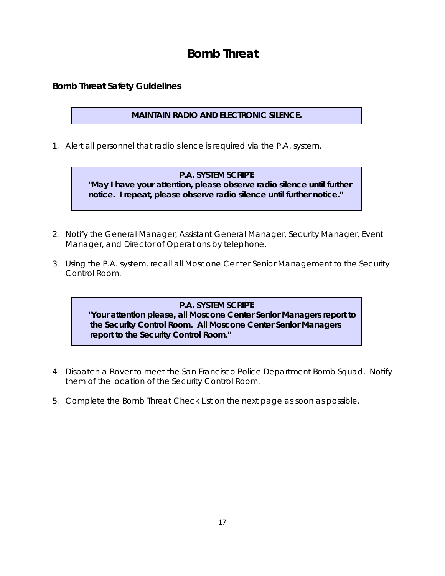# **Bomb Threat**

# **Bomb Threat Safety Guidelines**

# **MAINTAIN RADIO AND ELECTRONIC SILENCE.**

1. Alert all personnel that radio silence is required via the P.A. system.

# **P.A. SYSTEM SCRIPT:**

 **"***May I have your attention, please observe radio silence until further* *notice. I repeat, please observe radio silence until further notice***."**

- 2. Notify the General Manager, Assistant General Manager, Security Manager, Event Manager, and Director of Operations by telephone.
- 3. Using the P.A. system, recall all Moscone Center Senior Management to the Security Control Room.

## **P.A. SYSTEM SCRIPT:**

 **"***Your attention please, all Moscone Center Senior Managers report to the Security Control Room. All Moscone Center Senior Managers report to the Security Control Room."*

- 4. Dispatch a Rover to meet the San Francisco Police Department Bomb Squad. Notify them of the location of the Security Control Room.
- 5. Complete the Bomb Threat Check List on the next page as soon as possible.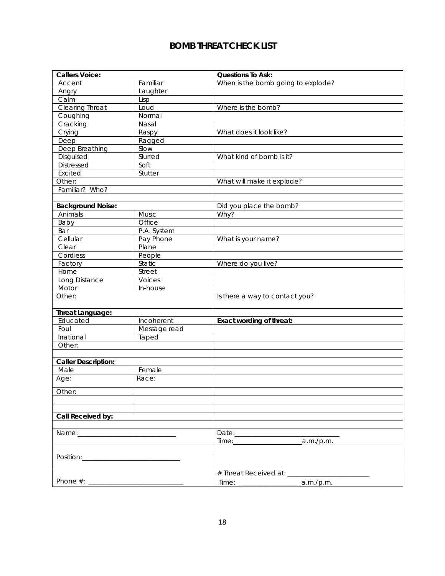# **BOMB THREAT CHECK LIST**

| <b>Callers Voice:</b>    |               | <b>Questions To Ask:</b>           |
|--------------------------|---------------|------------------------------------|
| Accent                   | Familiar      | When is the bomb going to explode? |
| Angry                    | Laughter      |                                    |
| Calm                     | Lisp          |                                    |
| Clearing Throat          | Loud          | Where is the bomb?                 |
| Coughing                 | Normal        |                                    |
| Cracking                 | Nasal         |                                    |
| Crying                   | Raspy         | What does it look like?            |
| Deep                     | Ragged        |                                    |
| Deep Breathing           | Slow          |                                    |
| Disguised                | Slurred       | What kind of bomb is it?           |
| Distressed               | Soft          |                                    |
| <b>Excited</b>           | Stutter       |                                    |
| Other:                   |               | What will make it explode?         |
| Familiar? Who?           |               |                                    |
|                          |               |                                    |
| <b>Background Noise:</b> |               | Did you place the bomb?            |
| Animals                  | Music         | Why?                               |
| Baby                     | Office        |                                    |
| Bar                      | P.A. System   |                                    |
| Cellular                 | Pay Phone     | What is your name?                 |
| Clear                    | Plane         |                                    |
| Cordless                 | People        |                                    |
| Factory                  | <b>Static</b> | Where do you live?                 |
| Home                     | Street        |                                    |
| Long Distance            | Voices        |                                    |
| Motor                    | In-house      |                                    |
| Other:                   |               | Is there a way to contact you?     |
|                          |               |                                    |
| Threat Language:         |               |                                    |
| Educated                 | Incoherent    | Exact wording of threat:           |
| Foul                     | Message read  |                                    |
| Irrational               | Taped         |                                    |
| Other:                   |               |                                    |
|                          |               |                                    |
| Caller Description:      |               |                                    |
| Male                     | Female        |                                    |
| Age:                     | Race:         |                                    |
| Other:                   |               |                                    |
|                          |               |                                    |
|                          |               |                                    |
| Call Received by:        |               |                                    |
|                          |               |                                    |
|                          |               | Date:___________                   |
|                          |               | a.m./p.m.<br>Time:                 |
|                          |               |                                    |
|                          |               |                                    |
|                          |               |                                    |
|                          |               | # Threat Received at: ____         |
| Phone $#$ :              |               | a.m./p.m.                          |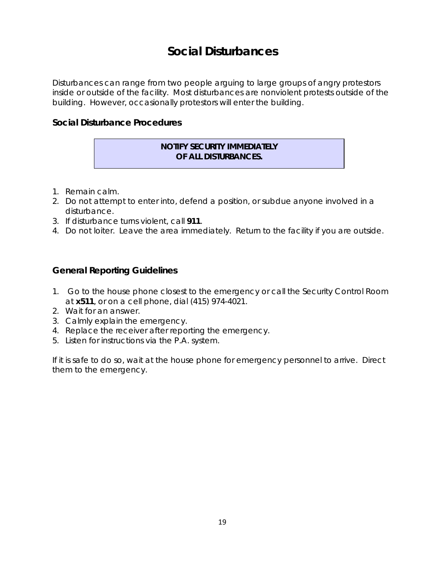# **Social Disturbances**

Disturbances can range from two people arguing to large groups of angry protestors inside or outside of the facility. Most disturbances are nonviolent protests outside of the building. However, occasionally protestors will enter the building.

## **Social Disturbance Procedures**

#### **NOTIFY SECURITY IMMEDIATELY OF ALL DISTURBANCES.**

- 1. Remain calm.
- 2. Do not attempt to enter into, defend a position, or subdue anyone involved in a disturbance.
- 3. If disturbance turns violent, call **911**.
- 4. Do not loiter. Leave the area immediately. Return to the facility if you are outside.

# **General Reporting Guidelines**

- 1. Go to the house phone closest to the emergency or call the Security Control Room at **x511**, or on a cell phone, dial (415) 974-4021.
- 2. Wait for an answer.
- 3. Calmly explain the emergency.
- 4. Replace the receiver after reporting the emergency.
- 5. Listen for instructions via the P.A. system.

If it is safe to do so, wait at the house phone for emergency personnel to arrive. Direct them to the emergency.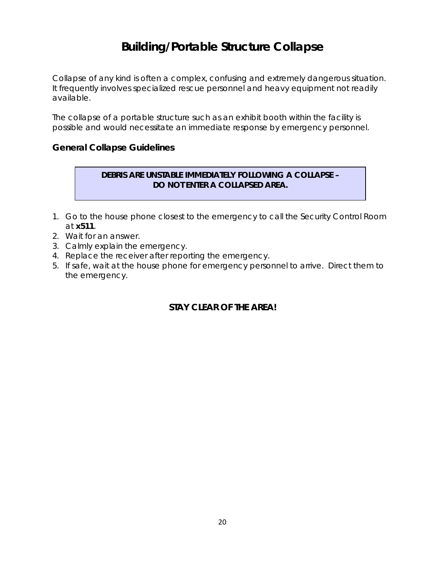# **Building/Portable Structure Collapse**

Collapse of any kind is often a complex, confusing and extremely dangerous situation. It frequently involves specialized rescue personnel and heavy equipment not readily available.

The collapse of a portable structure such as an exhibit booth within the facility is possible and would necessitate an immediate response by emergency personnel.

# **General Collapse Guidelines**

# **DEBRIS ARE UNSTABLE IMMEDIATELY FOLLOWING A COLLAPSE – DO NOT ENTER A COLLAPSED AREA.**

- 1. Go to the house phone closest to the emergency to call the Security Control Room at **x511**.
- 2. Wait for an answer.
- 3. Calmly explain the emergency.
- 4. Replace the receiver after reporting the emergency.
- 5. If safe, wait at the house phone for emergency personnel to arrive. Direct them to the emergency.

# **STAY CLEAR OF THE AREA!**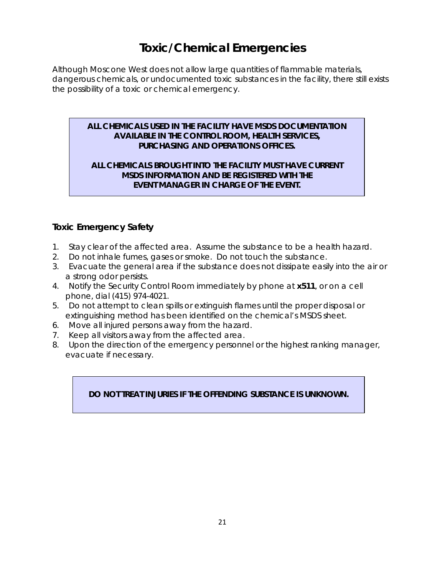# **Toxic/Chemical Emergencies**

Although Moscone West does not allow large quantities of flammable materials, dangerous chemicals, or undocumented toxic substances in the facility, there still exists the possibility of a toxic or chemical emergency.

## **ALL CHEMICALS USED IN THE FACILITY HAVE MSDS DOCUMENTATION AVAILABLE IN THE CONTROL ROOM, HEALTH SERVICES, PURCHASING AND OPERATIONS OFFICES.**

## **ALL CHEMICALS BROUGHT INTO THE FACILITY MUST HAVE CURRENT MSDS INFORMATION AND BE REGISTERED WITH THE EVENT MANAGER IN CHARGE OF THE EVENT.**

# **Toxic Emergency Safety**

- 1. Stay clear of the affected area. Assume the substance to be a health hazard.
- 2. Do not inhale fumes, gases or smoke. Do not touch the substance.
- 3. Evacuate the general area if the substance does not dissipate easily into the air or a strong odor persists.
- 4. Notify the Security Control Room immediately by phone at **x511**, or on a cell phone, dial (415) 974-4021.
- 5. Do not attempt to clean spills or extinguish flames until the proper disposal or extinguishing method has been identified on the chemical's MSDS sheet.
- 6. Move all injured persons away from the hazard.
- 7. Keep all visitors away from the affected area.
- 8. Upon the direction of the emergency personnel or the highest ranking manager, evacuate if necessary.

# **DO NOT TREAT INJURIES IF THE OFFENDING SUBSTANCE IS UNKNOWN.**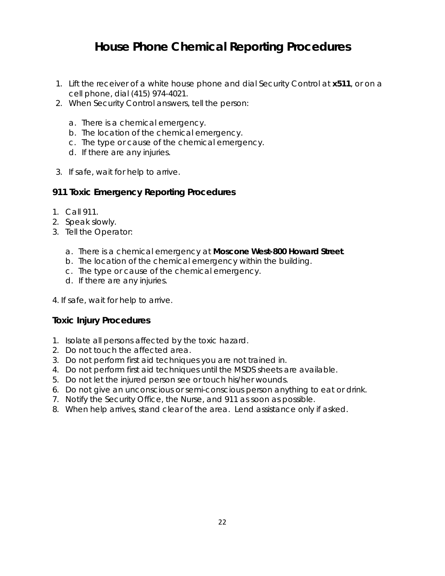# **House Phone Chemical Reporting Procedures**

- 1. Lift the receiver of a white house phone and dial Security Control at **x511**, or on a cell phone, dial (415) 974-4021.
- 2. When Security Control answers, tell the person:
	- a. There is a chemical emergency.
	- b. The location of the chemical emergency.
	- c. The type or cause of the chemical emergency.
	- d. If there are any injuries.
- 3. If safe, wait for help to arrive.

# **911 Toxic Emergency Reporting Procedures**

- 1. Call 911.
- 2. Speak slowly.
- 3. Tell the Operator:
	- a. There is a chemical emergency at **Moscone West-800 Howard Street**.
	- b. The location of the chemical emergency within the building.
	- c. The type or cause of the chemical emergency.
	- d. If there are any injuries.
- 4. If safe, wait for help to arrive.

## **Toxic Injury Procedures**

- 1. Isolate all persons affected by the toxic hazard.
- 2. Do not touch the affected area.
- 3. Do not perform first aid techniques you are not trained in.
- 4. Do not perform first aid techniques until the MSDS sheets are available.
- 5. Do not let the injured person see or touch his/her wounds.
- 6. Do not give an unconscious or semi-conscious person anything to eat or drink.
- 7. Notify the Security Office, the Nurse, and 911 as soon as possible.
- 8. When help arrives, stand clear of the area. Lend assistance only if asked.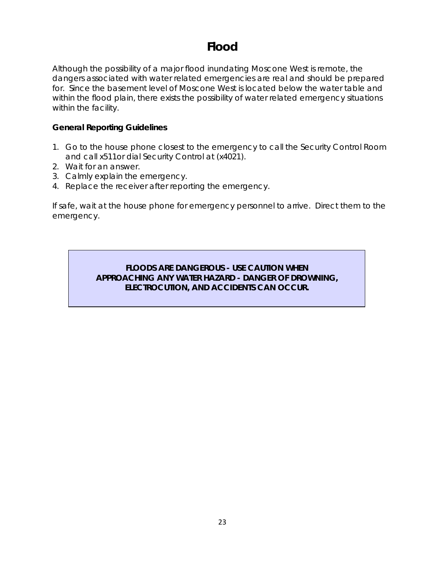# **Flood**

Although the possibility of a major flood inundating Moscone West is remote, the dangers associated with water related emergencies are real and should be prepared for. Since the basement level of Moscone West is located below the water table and within the flood plain, there exists the possibility of water related emergency situations within the facility.

## **General Reporting Guidelines**

- 1. Go to the house phone closest to the emergency to call the Security Control Room and call x511or dial Security Control at (x4021).
- 2. Wait for an answer.
- 3. Calmly explain the emergency.
- 4. Replace the receiver after reporting the emergency.

If safe, wait at the house phone for emergency personnel to arrive. Direct them to the emergency.

# **FLOODS ARE DANGEROUS - USE CAUTION WHEN APPROACHING ANY WATER HAZARD - DANGER OF DROWNING, ELECTROCUTION, AND ACCIDENTS CAN OCCUR.**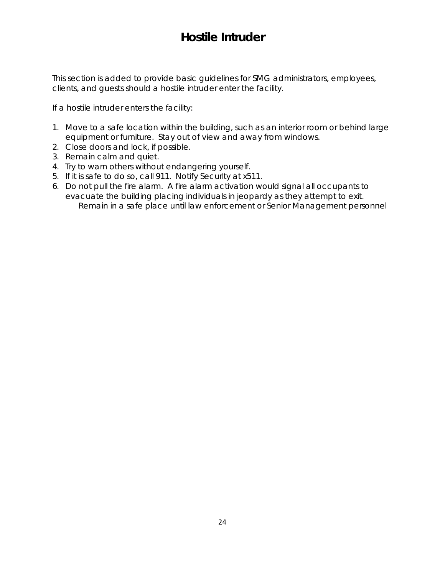# **Hostile Intruder**

This section is added to provide basic guidelines for SMG administrators, employees, clients, and guests should a hostile intruder enter the facility.

If a hostile intruder enters the facility:

- 1. Move to a safe location within the building, such as an interior room or behind large equipment or furniture. Stay out of view and away from windows.
- 2. Close doors and lock, if possible.
- 3. Remain calm and quiet.
- 4. Try to warn others without endangering yourself.
- 5. If it is safe to do so, call 911. Notify Security at x511.
- 6. Do not pull the fire alarm. A fire alarm activation would signal all occupants to evacuate the building placing individuals in jeopardy as they attempt to exit. Remain in a safe place until law enforcement or Senior Management personnel